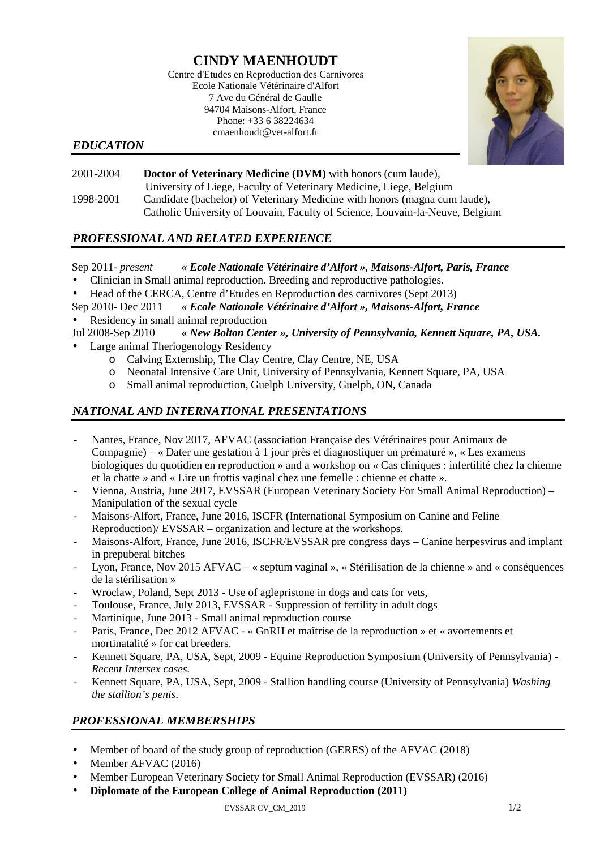#### **CINDY MAENHOUDT**  Centre d'Etudes en Reproduction des Carnivores Ecole Nationale Vétérinaire d'Alfort 7 Ave du Général de Gaulle 94704 Maisons-Alfort, France Phone: +33 6 38224634 cmaenhoudt@vet-alfort.fr



### *EDUCATION*

2001-2004 **Doctor of Veterinary Medicine (DVM)** with honors (cum laude), University of Liege, Faculty of Veterinary Medicine, Liege, Belgium 1998-2001 Candidate (bachelor) of Veterinary Medicine with honors (magna cum laude), Catholic University of Louvain, Faculty of Science, Louvain-la-Neuve, Belgium

# *PROFESSIONAL AND RELATED EXPERIENCE*

Sep 2011- *present « Ecole Nationale Vétérinaire d'Alfort », Maisons-Alfort, Paris, France* 

- Clinician in Small animal reproduction. Breeding and reproductive pathologies.
- Head of the CERCA, Centre d'Etudes en Reproduction des carnivores (Sept 2013)
- Sep 2010- Dec 2011 *« Ecole Nationale Vétérinaire d'Alfort », Maisons-Alfort, France*
- Residency in small animal reproduction<br>Jul 2008-Sep 2010 « New Bolton Cent « New Bolton Center », University of Pennsylvania, Kennett Square, PA, USA.
- Large animal Theriogenology Residency
	- o Calving Externship, The Clay Centre, Clay Centre, NE, USA
	- o Neonatal Intensive Care Unit, University of Pennsylvania, Kennett Square, PA, USA
	- o Small animal reproduction, Guelph University, Guelph, ON, Canada

## *NATIONAL AND INTERNATIONAL PRESENTATIONS*

- Nantes, France, Nov 2017, AFVAC (association Française des Vétérinaires pour Animaux de Compagnie) – « Dater une gestation à 1 jour près et diagnostiquer un prématuré », « Les examens biologiques du quotidien en reproduction » and a workshop on « Cas cliniques : infertilité chez la chienne et la chatte » and « Lire un frottis vaginal chez une femelle : chienne et chatte ».
- Vienna, Austria, June 2017, EVSSAR (European Veterinary Society For Small Animal Reproduction) Manipulation of the sexual cycle
- Maisons-Alfort, France, June 2016, ISCFR (International Symposium on Canine and Feline Reproduction)/ EVSSAR – organization and lecture at the workshops.
- Maisons-Alfort, France, June 2016, ISCFR/EVSSAR pre congress days Canine herpesvirus and implant in prepuberal bitches
- Lyon, France, Nov 2015 AFVAC « septum vaginal », « Stérilisation de la chienne » and « conséquences de la stérilisation »
- Wroclaw, Poland, Sept 2013 Use of aglepristone in dogs and cats for vets,
- Toulouse, France, July 2013, EVSSAR Suppression of fertility in adult dogs
- Martinique, June 2013 Small animal reproduction course
- Paris, France, Dec 2012 AFVAC « GnRH et maîtrise de la reproduction » et « avortements et mortinatalité » for cat breeders.
- Kennett Square, PA, USA, Sept, 2009 Equine Reproduction Symposium (University of Pennsylvania) *Recent Intersex cases.*
- Kennett Square, PA, USA, Sept, 2009 Stallion handling course (University of Pennsylvania) *Washing the stallion's penis*.

# *PROFESSIONAL MEMBERSHIPS*

- Member of board of the study group of reproduction (GERES) of the AFVAC (2018)
- Member AFVAC (2016)
- Member European Veterinary Society for Small Animal Reproduction (EVSSAR) (2016)
- **Diplomate of the European College of Animal Reproduction (2011)**